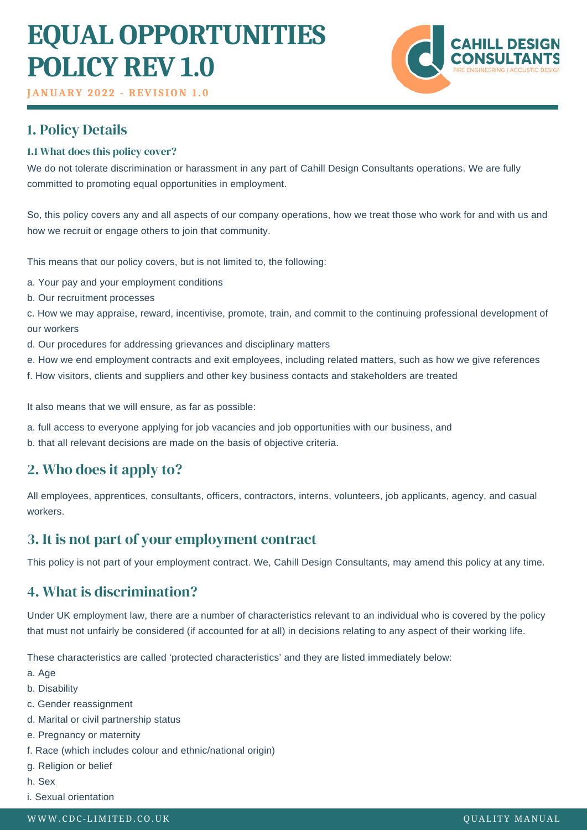# **EQUAL OPPORTUNITIES POLICY REV 1.0**



**JANUARY 2 0 2 2 - REVI S ION 1 . 0**

# 1. Policy Details

### 1.1 What does this policy cover?

We do not tolerate discrimination or harassment in any part of Cahill Design Consultants operations. We are fully committed to promoting equal opportunities in employment.

So, this policy covers any and all aspects of our company operations, how we treat those who work for and with us and how we recruit or engage others to join that community.

This means that our policy covers, but is not limited to, the following:

a. Your pay and your employment conditions

b. Our recruitment processes

c. How we may appraise, reward, incentivise, promote, train, and commit to the continuing professional development of our workers

- d. Our procedures for addressing grievances and disciplinary matters
- e. How we end employment contracts and exit employees, including related matters, such as how we give references
- f. How visitors, clients and suppliers and other key business contacts and stakeholders are treated

It also means that we will ensure, as far as possible:

- a. full access to everyone applying for job vacancies and job opportunities with our business, and
- b. that all relevant decisions are made on the basis of objective criteria.

## 2. Who does it apply to?

All employees, apprentices, consultants, officers, contractors, interns, volunteers, job applicants, agency, and casual workers.

## 3. It is not part of your employment contract

This policy is not part of your employment contract. We, Cahill Design Consultants, may amend this policy at any time.

## 4. What is discrimination?

Under UK employment law, there are a number of characteristics relevant to an individual who is covered by the policy that must not unfairly be considered (if accounted for at all) in decisions relating to any aspect of their working life.

These characteristics are called 'protected characteristics' and they are listed immediately below:

- a. Age
- b. Disability
- c. Gender reassignment
- d. Marital or civil partnership status
- e. Pregnancy or maternity
- f. Race (which includes colour and ethnic/national origin)
- g. Religion or belief
- h. Sex
- i. Sexual orientation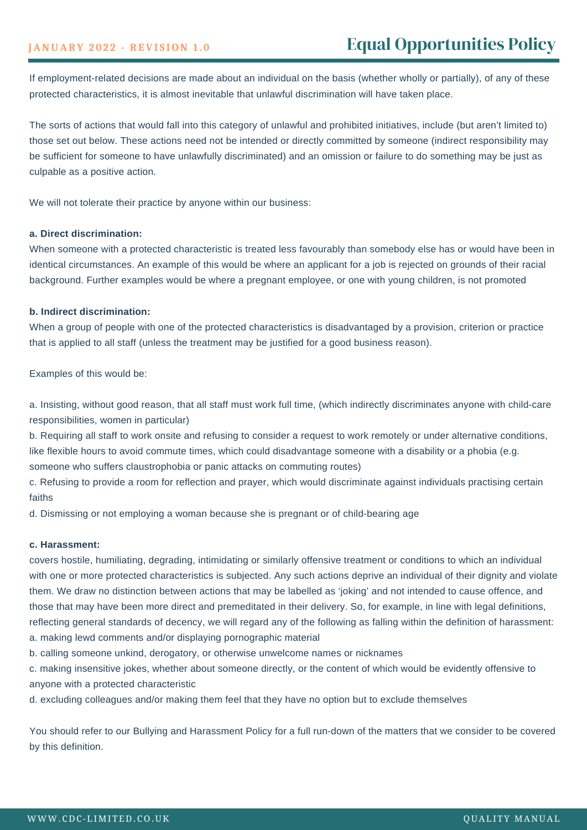If employment-related decisions are made about an individual on the basis (whether wholly or partially), of any of these protected characteristics, it is almost inevitable that unlawful discrimination will have taken place.

The sorts of actions that would fall into this category of unlawful and prohibited initiatives, include (but aren't limited to) those set out below. These actions need not be intended or directly committed by someone (indirect responsibility may be sufficient for someone to have unlawfully discriminated) and an omission or failure to do something may be just as culpable as a positive action.

We will not tolerate their practice by anyone within our business:

#### **a. Direct discrimination:**

When someone with a protected characteristic is treated less favourably than somebody else has or would have been in identical circumstances. An example of this would be where an applicant for a job is rejected on grounds of their racial background. Further examples would be where a pregnant employee, or one with young children, is not promoted

#### **b. Indirect discrimination:**

When a group of people with one of the protected characteristics is disadvantaged by a provision, criterion or practice that is applied to all staff (unless the treatment may be justified for a good business reason).

Examples of this would be:

a. Insisting, without good reason, that all staff must work full time, (which indirectly discriminates anyone with child-care responsibilities, women in particular)

b. Requiring all staff to work onsite and refusing to consider a request to work remotely or under alternative conditions, like flexible hours to avoid commute times, which could disadvantage someone with a disability or a phobia (e.g. someone who suffers claustrophobia or panic attacks on commuting routes)

c. Refusing to provide a room for reflection and prayer, which would discriminate against individuals practising certain faiths

d. Dismissing or not employing a woman because she is pregnant or of child-bearing age

#### **c. Harassment:**

covers hostile, humiliating, degrading, intimidating or similarly offensive treatment or conditions to which an individual with one or more protected characteristics is subjected. Any such actions deprive an individual of their dignity and violate them. We draw no distinction between actions that may be labelled as 'joking' and not intended to cause offence, and those that may have been more direct and premeditated in their delivery. So, for example, in line with legal definitions, reflecting general standards of decency, we will regard any of the following as falling within the definition of harassment: a. making lewd comments and/or displaying pornographic material

b. calling someone unkind, derogatory, or otherwise unwelcome names or nicknames

c. making insensitive jokes, whether about someone directly, or the content of which would be evidently offensive to anyone with a protected characteristic

d. excluding colleagues and/or making them feel that they have no option but to exclude themselves

You should refer to our Bullying and Harassment Policy for a full run-down of the matters that we consider to be covered by this definition.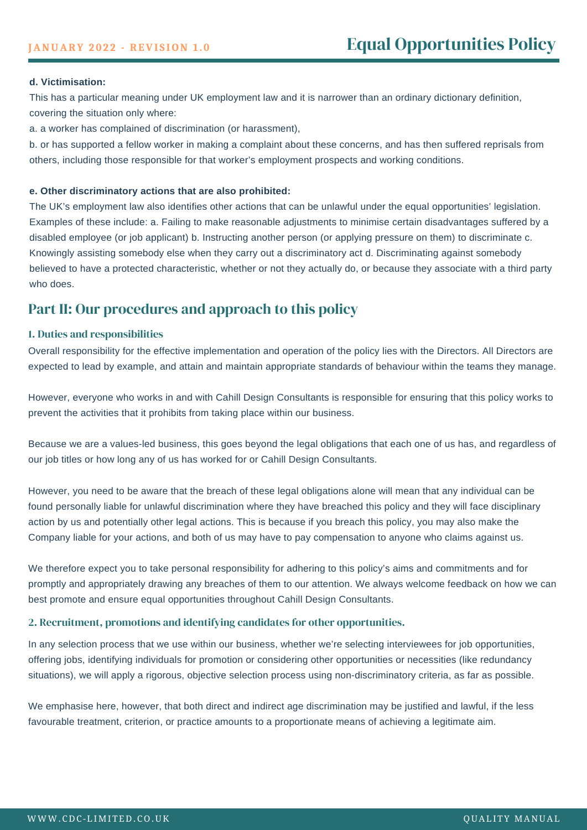#### **d. Victimisation:**

This has a particular meaning under UK employment law and it is narrower than an ordinary dictionary definition, covering the situation only where:

a. a worker has complained of discrimination (or harassment),

b. or has supported a fellow worker in making a complaint about these concerns, and has then suffered reprisals from others, including those responsible for that worker's employment prospects and working conditions.

#### **e. Other discriminatory actions that are also prohibited:**

The UK's employment law also identifies other actions that can be unlawful under the equal opportunities' legislation. Examples of these include: a. Failing to make reasonable adjustments to minimise certain disadvantages suffered by a disabled employee (or job applicant) b. Instructing another person (or applying pressure on them) to discriminate c. Knowingly assisting somebody else when they carry out a discriminatory act d. Discriminating against somebody believed to have a protected characteristic, whether or not they actually do, or because they associate with a third party who does.

## Part II: Our procedures and approach to this policy

#### 1. Duties and responsibilities

Overall responsibility for the effective implementation and operation of the policy lies with the Directors. All Directors are expected to lead by example, and attain and maintain appropriate standards of behaviour within the teams they manage.

However, everyone who works in and with Cahill Design Consultants is responsible for ensuring that this policy works to prevent the activities that it prohibits from taking place within our business.

Because we are a values-led business, this goes beyond the legal obligations that each one of us has, and regardless of our job titles or how long any of us has worked for or Cahill Design Consultants.

However, you need to be aware that the breach of these legal obligations alone will mean that any individual can be found personally liable for unlawful discrimination where they have breached this policy and they will face disciplinary action by us and potentially other legal actions. This is because if you breach this policy, you may also make the Company liable for your actions, and both of us may have to pay compensation to anyone who claims against us.

We therefore expect you to take personal responsibility for adhering to this policy's aims and commitments and for promptly and appropriately drawing any breaches of them to our attention. We always welcome feedback on how we can best promote and ensure equal opportunities throughout Cahill Design Consultants.

#### 2. Recruitment, promotions and identifying candidates for other opportunities.

In any selection process that we use within our business, whether we're selecting interviewees for job opportunities, offering jobs, identifying individuals for promotion or considering other opportunities or necessities (like redundancy situations), we will apply a rigorous, objective selection process using non-discriminatory criteria, as far as possible.

We emphasise here, however, that both direct and indirect age discrimination may be justified and lawful, if the less favourable treatment, criterion, or practice amounts to a proportionate means of achieving a legitimate aim.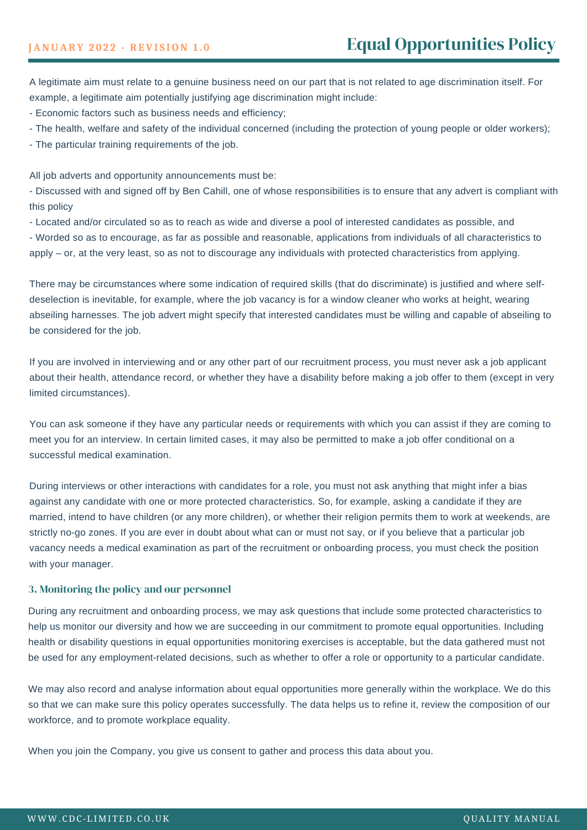A legitimate aim must relate to a genuine business need on our part that is not related to age discrimination itself. For example, a legitimate aim potentially justifying age discrimination might include:

- Economic factors such as business needs and efficiency;

- The health, welfare and safety of the individual concerned (including the protection of young people or older workers);

- The particular training requirements of the job.

All job adverts and opportunity announcements must be:

- Discussed with and signed off by Ben Cahill, one of whose responsibilities is to ensure that any advert is compliant with this policy

- Located and/or circulated so as to reach as wide and diverse a pool of interested candidates as possible, and

- Worded so as to encourage, as far as possible and reasonable, applications from individuals of all characteristics to apply – or, at the very least, so as not to discourage any individuals with protected characteristics from applying.

There may be circumstances where some indication of required skills (that do discriminate) is justified and where selfdeselection is inevitable, for example, where the job vacancy is for a window cleaner who works at height, wearing abseiling harnesses. The job advert might specify that interested candidates must be willing and capable of abseiling to be considered for the job.

If you are involved in interviewing and or any other part of our recruitment process, you must never ask a job applicant about their health, attendance record, or whether they have a disability before making a job offer to them (except in very limited circumstances).

You can ask someone if they have any particular needs or requirements with which you can assist if they are coming to meet you for an interview. In certain limited cases, it may also be permitted to make a job offer conditional on a successful medical examination.

During interviews or other interactions with candidates for a role, you must not ask anything that might infer a bias against any candidate with one or more protected characteristics. So, for example, asking a candidate if they are married, intend to have children (or any more children), or whether their religion permits them to work at weekends, are strictly no-go zones. If you are ever in doubt about what can or must not say, or if you believe that a particular job vacancy needs a medical examination as part of the recruitment or onboarding process, you must check the position with your manager.

#### 3. Monitoring the policy and our personnel

During any recruitment and onboarding process, we may ask questions that include some protected characteristics to help us monitor our diversity and how we are succeeding in our commitment to promote equal opportunities. Including health or disability questions in equal opportunities monitoring exercises is acceptable, but the data gathered must not be used for any employment-related decisions, such as whether to offer a role or opportunity to a particular candidate.

We may also record and analyse information about equal opportunities more generally within the workplace. We do this so that we can make sure this policy operates successfully. The data helps us to refine it, review the composition of our workforce, and to promote workplace equality.

When you join the Company, you give us consent to gather and process this data about you.